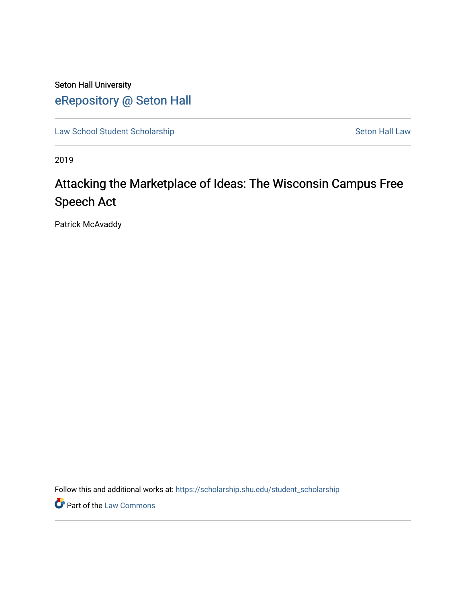Seton Hall University [eRepository @ Seton Hall](https://scholarship.shu.edu/)

[Law School Student Scholarship](https://scholarship.shu.edu/student_scholarship) Seton Hall Law

2019

# Attacking the Marketplace of Ideas: The Wisconsin Campus Free Speech Act

Patrick McAvaddy

Follow this and additional works at: [https://scholarship.shu.edu/student\\_scholarship](https://scholarship.shu.edu/student_scholarship?utm_source=scholarship.shu.edu%2Fstudent_scholarship%2F1076&utm_medium=PDF&utm_campaign=PDFCoverPages) 

**Part of the [Law Commons](http://network.bepress.com/hgg/discipline/578?utm_source=scholarship.shu.edu%2Fstudent_scholarship%2F1076&utm_medium=PDF&utm_campaign=PDFCoverPages)**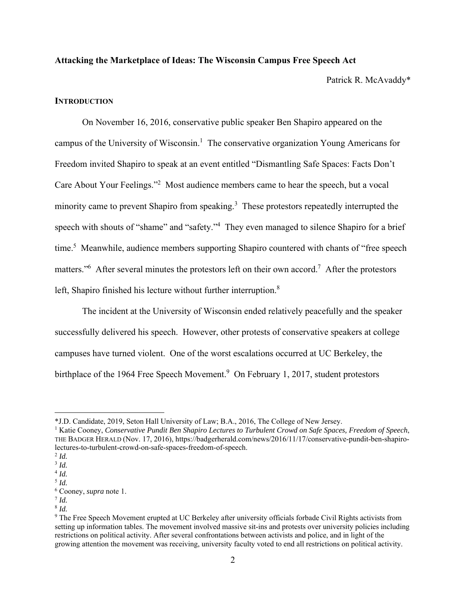### **Attacking the Marketplace of Ideas: The Wisconsin Campus Free Speech Act**

Patrick R. McAvaddy\*

# **INTRODUCTION**

On November 16, 2016, conservative public speaker Ben Shapiro appeared on the campus of the University of Wisconsin.<sup>1</sup> The conservative organization Young Americans for Freedom invited Shapiro to speak at an event entitled "Dismantling Safe Spaces: Facts Don't Care About Your Feelings."<sup>2</sup> Most audience members came to hear the speech, but a vocal minority came to prevent Shapiro from speaking.<sup>3</sup> These protestors repeatedly interrupted the speech with shouts of "shame" and "safety."<sup>4</sup> They even managed to silence Shapiro for a brief time.<sup>5</sup> Meanwhile, audience members supporting Shapiro countered with chants of "free speech matters."<sup>6</sup> After several minutes the protestors left on their own accord.<sup>7</sup> After the protestors left, Shapiro finished his lecture without further interruption.<sup>8</sup>

 The incident at the University of Wisconsin ended relatively peacefully and the speaker successfully delivered his speech. However, other protests of conservative speakers at college campuses have turned violent. One of the worst escalations occurred at UC Berkeley, the birthplace of the 1964 Free Speech Movement.<sup>9</sup> On February 1, 2017, student protestors

<sup>\*</sup>J.D. Candidate, 2019, Seton Hall University of Law; B.A., 2016, The College of New Jersey. 1

<sup>&</sup>lt;sup>1</sup> Katie Cooney, *Conservative Pundit Ben Shapiro Lectures to Turbulent Crowd on Safe Spaces, Freedom of Speech,* THE BADGER HERALD (Nov. 17, 2016), https://badgerherald.com/news/2016/11/17/conservative-pundit-ben-shapirolectures-to-turbulent-crowd-on-safe-spaces-freedom-of-speech. 2 *Id.*

<sup>3</sup> *Id.* <sup>4</sup> *Id.*

<sup>5</sup> *Id.*

<sup>6</sup> Cooney, *supra* note 1. 7 *Id.*

<sup>8</sup>  *Id.*

<sup>9</sup> The Free Speech Movement erupted at UC Berkeley after university officials forbade Civil Rights activists from setting up information tables. The movement involved massive sit-ins and protests over university policies including restrictions on political activity. After several confrontations between activists and police, and in light of the growing attention the movement was receiving, university faculty voted to end all restrictions on political activity.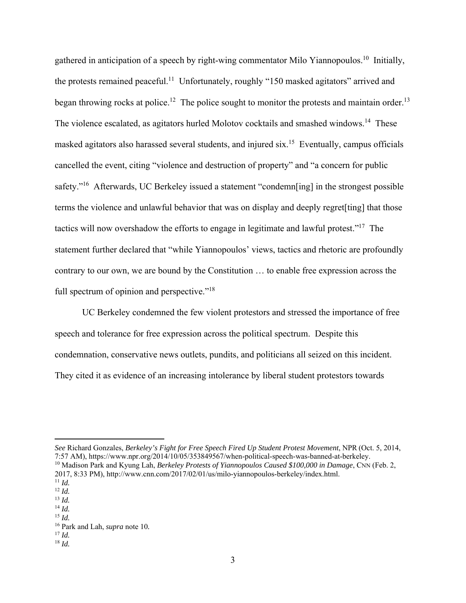gathered in anticipation of a speech by right-wing commentator Milo Yiannopoulos.10 Initially, the protests remained peaceful.<sup>11</sup> Unfortunately, roughly "150 masked agitators" arrived and began throwing rocks at police.<sup>12</sup> The police sought to monitor the protests and maintain order.<sup>13</sup> The violence escalated, as agitators hurled Molotov cocktails and smashed windows.<sup>14</sup> These masked agitators also harassed several students, and injured six.15 Eventually, campus officials cancelled the event, citing "violence and destruction of property" and "a concern for public safety."<sup>16</sup> Afterwards, UC Berkeley issued a statement "condemn[ing] in the strongest possible terms the violence and unlawful behavior that was on display and deeply regret[ting] that those tactics will now overshadow the efforts to engage in legitimate and lawful protest."17 The statement further declared that "while Yiannopoulos' views, tactics and rhetoric are profoundly contrary to our own, we are bound by the Constitution … to enable free expression across the full spectrum of opinion and perspective."<sup>18</sup>

 UC Berkeley condemned the few violent protestors and stressed the importance of free speech and tolerance for free expression across the political spectrum. Despite this condemnation, conservative news outlets, pundits, and politicians all seized on this incident. They cited it as evidence of an increasing intolerance by liberal student protestors towards

<sup>17</sup> *Id.* <sup>18</sup> *Id.*

*See* Richard Gonzales, *Berkeley's Fight for Free Speech Fired Up Student Protest Movement*, NPR (Oct. 5, 2014, 7:57 AM), https://www.npr.org/2014/10/05/353849567/when-political-speech-was-banned-at-berkeley. <sup>10</sup> Madison Park and Kyung Lah, *Berkeley Protests of Yiannopoulos Caused \$100,000 in Damage*, CNN (Feb. 2, 2017, 8:33 PM), http://www.cnn.com/2017/02/01/us/milo-yiannopoulos-berkeley/index.html. 11 *Id.*

<sup>12</sup> *Id.*

<sup>13</sup> *Id.*

<sup>14</sup> *Id.*

<sup>15</sup> *Id.*

<sup>16</sup> Park and Lah, *supra* note 10*.*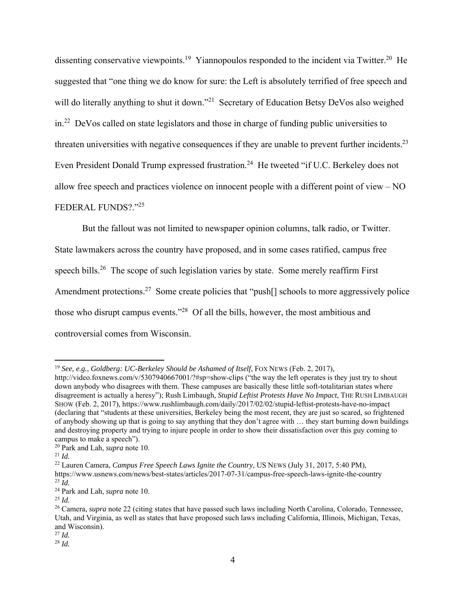dissenting conservative viewpoints.<sup>19</sup> Yiannopoulos responded to the incident via Twitter.<sup>20</sup> He suggested that "one thing we do know for sure: the Left is absolutely terrified of free speech and will do literally anything to shut it down."<sup>21</sup> Secretary of Education Betsy DeVos also weighed in.22 DeVos called on state legislators and those in charge of funding public universities to threaten universities with negative consequences if they are unable to prevent further incidents.<sup>23</sup> Even President Donald Trump expressed frustration.<sup>24</sup> He tweeted "if U.C. Berkeley does not allow free speech and practices violence on innocent people with a different point of view – NO FEDERAL FUNDS?."<sup>25</sup>

 But the fallout was not limited to newspaper opinion columns, talk radio, or Twitter. State lawmakers across the country have proposed, and in some cases ratified, campus free speech bills.<sup>26</sup> The scope of such legislation varies by state. Some merely reaffirm First Amendment protections.<sup>27</sup> Some create policies that "push<sup>[]</sup> schools to more aggressively police those who disrupt campus events."28 Of all the bills, however, the most ambitious and controversial comes from Wisconsin.

<sup>19</sup> *See, e.g.*, *Goldberg: UC-Berkeley Should be Ashamed of Itself*, FOX NEWS (Feb. 2, 2017),

http://video.foxnews.com/v/5307940667001/?#sp=show-clips ("the way the left operates is they just try to shout down anybody who disagrees with them. These campuses are basically these little soft-totalitarian states where disagreement is actually a heresy"); Rush Limbaugh, *Stupid Leftist Protests Have No Impact*, THE RUSH LIMBAUGH SHOW (Feb. 2, 2017), https://www.rushlimbaugh.com/daily/2017/02/02/stupid-leftist-protests-have-no-impact (declaring that "students at these universities, Berkeley being the most recent, they are just so scared, so frightened of anybody showing up that is going to say anything that they don't agree with … they start burning down buildings and destroying property and trying to injure people in order to show their dissatisfaction over this guy coming to campus to make a speech").

<sup>20</sup> Park and Lah, *supra* note 10. 21 *Id.*

<sup>22</sup> Lauren Camera, *Campus Free Speech Laws Ignite the Country*, US NEWS (July 31, 2017, 5:40 PM), https://www.usnews.com/news/best-states/articles/2017-07-31/campus-free-speech-laws-ignite-the-country  $^{23}$  *Id.* 

<sup>24</sup> Park and Lah, *supra* note 10.

<sup>25</sup> *Id.*

<sup>&</sup>lt;sup>26</sup> Camera, *supra* note 22 (citing states that have passed such laws including North Carolina, Colorado, Tennessee, Utah, and Virginia, as well as states that have proposed such laws including California, Illinois, Michigan, Texas, and Wisconsin).

<sup>27</sup> *Id.*

<sup>28</sup> *Id.*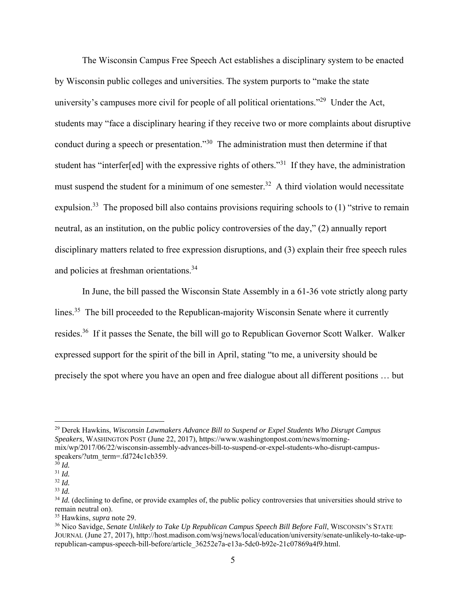The Wisconsin Campus Free Speech Act establishes a disciplinary system to be enacted by Wisconsin public colleges and universities. The system purports to "make the state university's campuses more civil for people of all political orientations."<sup>29</sup> Under the Act, students may "face a disciplinary hearing if they receive two or more complaints about disruptive conduct during a speech or presentation."30 The administration must then determine if that student has "interfer[ed] with the expressive rights of others."31 If they have, the administration must suspend the student for a minimum of one semester.<sup>32</sup> A third violation would necessitate expulsion.<sup>33</sup> The proposed bill also contains provisions requiring schools to  $(1)$  "strive to remain neutral, as an institution, on the public policy controversies of the day," (2) annually report disciplinary matters related to free expression disruptions, and (3) explain their free speech rules and policies at freshman orientations.34

In June, the bill passed the Wisconsin State Assembly in a 61-36 vote strictly along party lines.<sup>35</sup> The bill proceeded to the Republican-majority Wisconsin Senate where it currently resides.36 If it passes the Senate, the bill will go to Republican Governor Scott Walker. Walker expressed support for the spirit of the bill in April, stating "to me, a university should be precisely the spot where you have an open and free dialogue about all different positions … but

<sup>29</sup> Derek Hawkins, *Wisconsin Lawmakers Advance Bill to Suspend or Expel Students Who Disrupt Campus Speakers*, WASHINGTON POST (June 22, 2017), https://www.washingtonpost.com/news/morningmix/wp/2017/06/22/wisconsin-assembly-advances-bill-to-suspend-or-expel-students-who-disrupt-campusspeakers/?utm\_term=.fd724c1cb359.

 $3\overline{0}$  *Id.* 

<sup>31</sup> *Id.*

<sup>32</sup> *Id.*

<sup>33</sup> *Id.*

<sup>&</sup>lt;sup>34</sup> *Id.* (declining to define, or provide examples of, the public policy controversies that universities should strive to remain neutral on).

<sup>35</sup> Hawkins, *supra* note 29.

<sup>&</sup>lt;sup>36</sup> Nico Savidge, *Senate Unlikely to Take Up Republican Campus Speech Bill Before Fall*, WISCONSIN'S STATE JOURNAL (June 27, 2017), http://host.madison.com/wsj/news/local/education/university/senate-unlikely-to-take-uprepublican-campus-speech-bill-before/article\_36252e7a-e13a-5dc0-b92e-21c07869a4f9.html.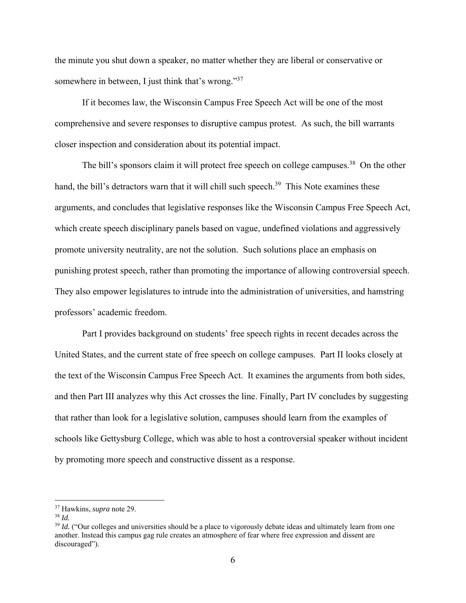the minute you shut down a speaker, no matter whether they are liberal or conservative or somewhere in between, I just think that's wrong."<sup>37</sup>

If it becomes law, the Wisconsin Campus Free Speech Act will be one of the most comprehensive and severe responses to disruptive campus protest. As such, the bill warrants closer inspection and consideration about its potential impact.

The bill's sponsors claim it will protect free speech on college campuses.<sup>38</sup> On the other hand, the bill's detractors warn that it will chill such speech.<sup>39</sup> This Note examines these arguments, and concludes that legislative responses like the Wisconsin Campus Free Speech Act, which create speech disciplinary panels based on vague, undefined violations and aggressively promote university neutrality, are not the solution. Such solutions place an emphasis on punishing protest speech, rather than promoting the importance of allowing controversial speech. They also empower legislatures to intrude into the administration of universities, and hamstring professors' academic freedom.

Part I provides background on students' free speech rights in recent decades across the United States, and the current state of free speech on college campuses. Part II looks closely at the text of the Wisconsin Campus Free Speech Act. It examines the arguments from both sides, and then Part III analyzes why this Act crosses the line. Finally, Part IV concludes by suggesting that rather than look for a legislative solution, campuses should learn from the examples of schools like Gettysburg College, which was able to host a controversial speaker without incident by promoting more speech and constructive dissent as a response.

<sup>37</sup> Hawkins, *supra* note 29.

<sup>38</sup> *Id.*

<sup>&</sup>lt;sup>39</sup> *Id.* ("Our colleges and universities should be a place to vigorously debate ideas and ultimately learn from one another. Instead this campus gag rule creates an atmosphere of fear where free expression and dissent are discouraged").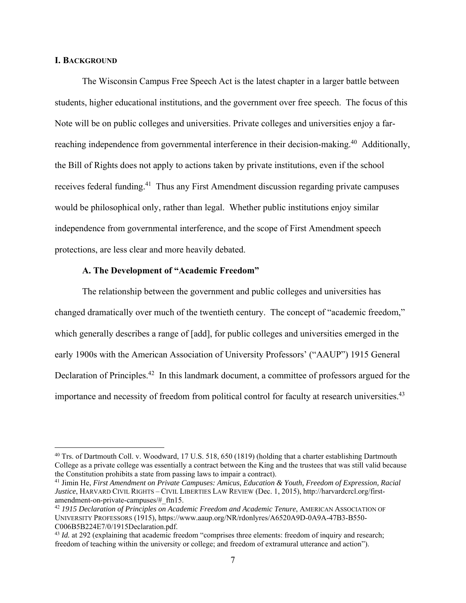# **I. BACKGROUND**

The Wisconsin Campus Free Speech Act is the latest chapter in a larger battle between students, higher educational institutions, and the government over free speech. The focus of this Note will be on public colleges and universities. Private colleges and universities enjoy a farreaching independence from governmental interference in their decision-making.<sup>40</sup> Additionally, the Bill of Rights does not apply to actions taken by private institutions, even if the school receives federal funding.<sup>41</sup> Thus any First Amendment discussion regarding private campuses would be philosophical only, rather than legal. Whether public institutions enjoy similar independence from governmental interference, and the scope of First Amendment speech protections, are less clear and more heavily debated.

## **A. The Development of "Academic Freedom"**

 The relationship between the government and public colleges and universities has changed dramatically over much of the twentieth century. The concept of "academic freedom," which generally describes a range of [add], for public colleges and universities emerged in the early 1900s with the American Association of University Professors' ("AAUP") 1915 General Declaration of Principles.<sup>42</sup> In this landmark document, a committee of professors argued for the importance and necessity of freedom from political control for faculty at research universities.<sup>43</sup>

<sup>&</sup>lt;sup>40</sup> Trs. of Dartmouth Coll. v. Woodward, 17 U.S. 518, 650 (1819) (holding that a charter establishing Dartmouth College as a private college was essentially a contract between the King and the trustees that was still valid because the Constitution prohibits a state from passing laws to impair a contract).

<sup>&</sup>lt;sup>41</sup> Jimin He, *First Amendment on Private Campuses: Amicus, Education & Youth, Freedom of Expression, Racial Justice*, HARVARD CIVIL RIGHTS – CIVIL LIBERTIES LAW REVIEW (Dec. 1, 2015), http://harvardcrcl.org/firstamendment-on-private-campuses/#\_ftn15.

<sup>&</sup>lt;sup>42</sup> 1915 Declaration of Principles on Academic Freedom and Academic Tenure, AMERICAN ASSOCIATION OF UNIVERSITY PROFESSORS (1915), https://www.aaup.org/NR/rdonlyres/A6520A9D-0A9A-47B3-B550- C006B5B224E7/0/1915Declaration.pdf.

<sup>&</sup>lt;sup>43</sup> *Id.* at 292 (explaining that academic freedom "comprises three elements: freedom of inquiry and research; freedom of teaching within the university or college; and freedom of extramural utterance and action").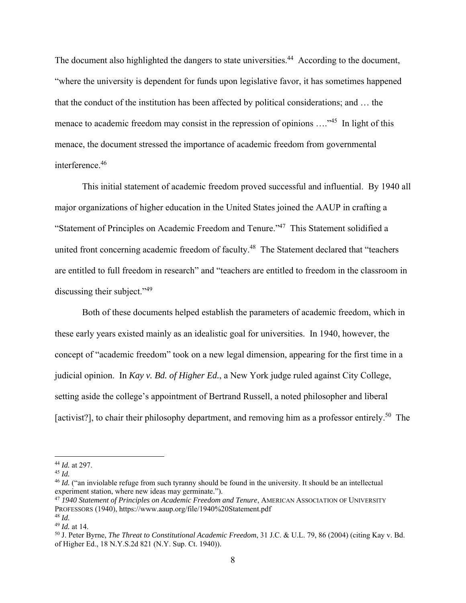The document also highlighted the dangers to state universities.<sup>44</sup> According to the document, "where the university is dependent for funds upon legislative favor, it has sometimes happened that the conduct of the institution has been affected by political considerations; and … the menace to academic freedom may consist in the repression of opinions ....<sup>45</sup> In light of this menace, the document stressed the importance of academic freedom from governmental interference.46

 This initial statement of academic freedom proved successful and influential. By 1940 all major organizations of higher education in the United States joined the AAUP in crafting a "Statement of Principles on Academic Freedom and Tenure."47 This Statement solidified a united front concerning academic freedom of faculty.<sup>48</sup> The Statement declared that "teachers are entitled to full freedom in research" and "teachers are entitled to freedom in the classroom in discussing their subject."<sup>49</sup>

Both of these documents helped establish the parameters of academic freedom, which in these early years existed mainly as an idealistic goal for universities. In 1940, however, the concept of "academic freedom" took on a new legal dimension, appearing for the first time in a judicial opinion. In *Kay v. Bd. of Higher Ed.*, a New York judge ruled against City College, setting aside the college's appointment of Bertrand Russell, a noted philosopher and liberal [activist?], to chair their philosophy department, and removing him as a professor entirely.<sup>50</sup> The

<sup>44</sup> *Id.* at 297.

<sup>45</sup> *Id.*

<sup>&</sup>lt;sup>46</sup> *Id.* ("an inviolable refuge from such tyranny should be found in the university. It should be an intellectual experiment station, where new ideas may germinate.").

<sup>47</sup> *1940 Statement of Principles on Academic Freedom and Tenure*, AMERICAN ASSOCIATION OF UNIVERSITY PROFESSORS (1940), https://www.aaup.org/file/1940%20Statement.pdf <sup>48</sup> *Id.*

<sup>49</sup> *Id.* at 14.

<sup>50</sup> J. Peter Byrne, *The Threat to Constitutional Academic Freedom*, 31 J.C. & U.L. 79, 86 (2004) (citing Kay v. Bd. of Higher Ed., 18 N.Y.S.2d 821 (N.Y. Sup. Ct. 1940)).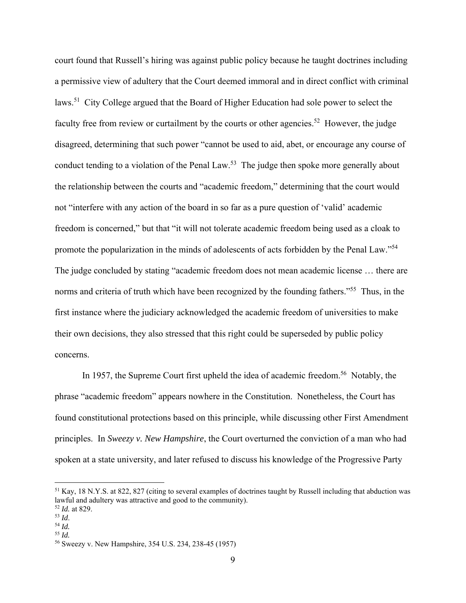court found that Russell's hiring was against public policy because he taught doctrines including a permissive view of adultery that the Court deemed immoral and in direct conflict with criminal laws.51 City College argued that the Board of Higher Education had sole power to select the faculty free from review or curtailment by the courts or other agencies.<sup>52</sup> However, the judge disagreed, determining that such power "cannot be used to aid, abet, or encourage any course of conduct tending to a violation of the Penal Law.<sup>53</sup> The judge then spoke more generally about the relationship between the courts and "academic freedom," determining that the court would not "interfere with any action of the board in so far as a pure question of 'valid' academic freedom is concerned," but that "it will not tolerate academic freedom being used as a cloak to promote the popularization in the minds of adolescents of acts forbidden by the Penal Law."54 The judge concluded by stating "academic freedom does not mean academic license … there are norms and criteria of truth which have been recognized by the founding fathers."<sup>55</sup> Thus, in the first instance where the judiciary acknowledged the academic freedom of universities to make their own decisions, they also stressed that this right could be superseded by public policy concerns.

In 1957, the Supreme Court first upheld the idea of academic freedom.<sup>56</sup> Notably, the phrase "academic freedom" appears nowhere in the Constitution. Nonetheless, the Court has found constitutional protections based on this principle, while discussing other First Amendment principles. In *Sweezy v. New Hampshire*, the Court overturned the conviction of a man who had spoken at a state university, and later refused to discuss his knowledge of the Progressive Party

<sup>51</sup> Kay, 18 N.Y.S. at 822, 827 (citing to several examples of doctrines taught by Russell including that abduction was lawful and adultery was attractive and good to the community).

 $\frac{52}{53}$  *Id.* at 829.

<sup>53</sup> *Id*. 54 *Id.*

<sup>55</sup> *Id.*

<sup>56</sup> Sweezy v. New Hampshire, 354 U.S. 234, 238-45 (1957)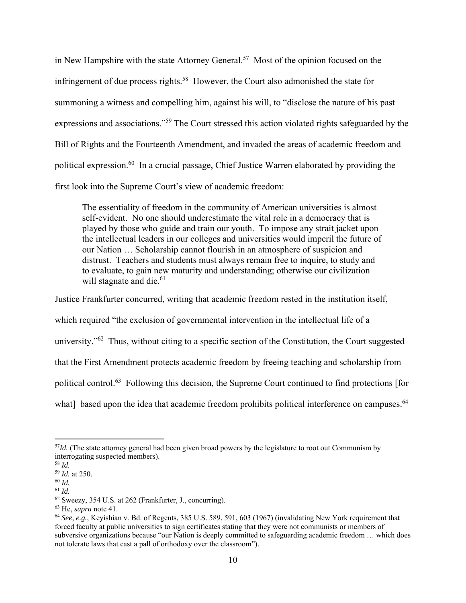in New Hampshire with the state Attorney General.<sup>57</sup> Most of the opinion focused on the infringement of due process rights.<sup>58</sup> However, the Court also admonished the state for summoning a witness and compelling him, against his will, to "disclose the nature of his past expressions and associations."59 The Court stressed this action violated rights safeguarded by the Bill of Rights and the Fourteenth Amendment, and invaded the areas of academic freedom and political expression.60 In a crucial passage, Chief Justice Warren elaborated by providing the first look into the Supreme Court's view of academic freedom:

The essentiality of freedom in the community of American universities is almost self-evident. No one should underestimate the vital role in a democracy that is played by those who guide and train our youth. To impose any strait jacket upon the intellectual leaders in our colleges and universities would imperil the future of our Nation … Scholarship cannot flourish in an atmosphere of suspicion and distrust. Teachers and students must always remain free to inquire, to study and to evaluate, to gain new maturity and understanding; otherwise our civilization will stagnate and die.<sup>61</sup>

Justice Frankfurter concurred, writing that academic freedom rested in the institution itself, which required "the exclusion of governmental intervention in the intellectual life of a university."<sup>62</sup> Thus, without citing to a specific section of the Constitution, the Court suggested that the First Amendment protects academic freedom by freeing teaching and scholarship from political control.63 Following this decision, the Supreme Court continued to find protections [for what] based upon the idea that academic freedom prohibits political interference on campuses.<sup>64</sup>

<sup>&</sup>lt;sup>57</sup>*Id.* (The state attorney general had been given broad powers by the legislature to root out Communism by interrogating suspected members).

<sup>58</sup> *Id.*

<sup>59</sup> *Id.* at 250. <sup>60</sup> *Id.*

<sup>61</sup> *Id.*

<sup>62</sup> Sweezy, 354 U.S. at 262 (Frankfurter, J., concurring).

<sup>63</sup> He, *supra* note 41.

<sup>64</sup> *See, e.g.*, Keyishian v. Bd. of Regents, 385 U.S. 589, 591, 603 (1967) (invalidating New York requirement that forced faculty at public universities to sign certificates stating that they were not communists or members of subversive organizations because "our Nation is deeply committed to safeguarding academic freedom … which does not tolerate laws that cast a pall of orthodoxy over the classroom").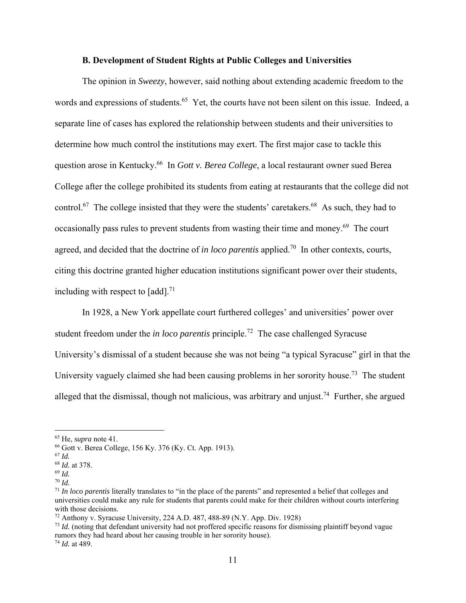#### **B. Development of Student Rights at Public Colleges and Universities**

The opinion in *Sweezy*, however, said nothing about extending academic freedom to the words and expressions of students.<sup>65</sup> Yet, the courts have not been silent on this issue. Indeed, a separate line of cases has explored the relationship between students and their universities to determine how much control the institutions may exert. The first major case to tackle this question arose in Kentucky.66 In *Gott v. Berea College,* a local restaurant owner sued Berea College after the college prohibited its students from eating at restaurants that the college did not control.<sup>67</sup> The college insisted that they were the students' caretakers.<sup>68</sup> As such, they had to occasionally pass rules to prevent students from wasting their time and money.<sup>69</sup> The court agreed, and decided that the doctrine of *in loco parentis* applied.<sup>70</sup> In other contexts, courts, citing this doctrine granted higher education institutions significant power over their students, including with respect to  $\lceil \text{add} \rceil$ .<sup>71</sup>

In 1928, a New York appellate court furthered colleges' and universities' power over student freedom under the *in loco parentis* principle.72 The case challenged Syracuse University's dismissal of a student because she was not being "a typical Syracuse" girl in that the University vaguely claimed she had been causing problems in her sorority house.<sup>73</sup> The student alleged that the dismissal, though not malicious, was arbitrary and unjust.<sup>74</sup> Further, she argued

<sup>65</sup> He, *supra* note 41.

<sup>66</sup> Gott v. Berea College, 156 Ky. 376 (Ky. Ct. App. 1913).

<sup>67</sup> *Id.*

<sup>68</sup> *Id.* at 378.

<sup>69</sup> *Id.*

<sup>70</sup> *Id.*

<sup>71</sup> *In loco parentis* literally translates to "in the place of the parents" and represented a belief that colleges and universities could make any rule for students that parents could make for their children without courts interfering with those decisions.

<sup>72</sup> Anthony v. Syracuse University, 224 A.D. 487, 488-89 (N.Y. App. Div. 1928)

<sup>73</sup> *Id.* (noting that defendant university had not proffered specific reasons for dismissing plaintiff beyond vague rumors they had heard about her causing trouble in her sorority house).

<sup>74</sup> *Id.* at 489.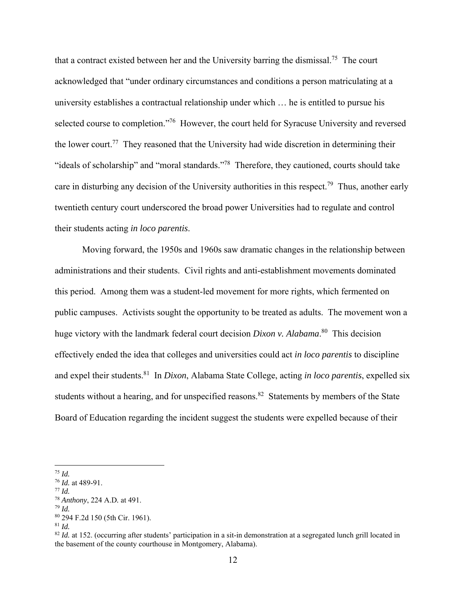that a contract existed between her and the University barring the dismissal.75 The court acknowledged that "under ordinary circumstances and conditions a person matriculating at a university establishes a contractual relationship under which … he is entitled to pursue his selected course to completion."<sup>76</sup> However, the court held for Syracuse University and reversed the lower court.<sup>77</sup> They reasoned that the University had wide discretion in determining their "ideals of scholarship" and "moral standards."<sup>78</sup> Therefore, they cautioned, courts should take care in disturbing any decision of the University authorities in this respect.<sup>79</sup> Thus, another early twentieth century court underscored the broad power Universities had to regulate and control their students acting *in loco parentis*.

Moving forward, the 1950s and 1960s saw dramatic changes in the relationship between administrations and their students. Civil rights and anti-establishment movements dominated this period. Among them was a student-led movement for more rights, which fermented on public campuses. Activists sought the opportunity to be treated as adults. The movement won a huge victory with the landmark federal court decision *Dixon v. Alabama*. 80 This decision effectively ended the idea that colleges and universities could act *in loco parentis* to discipline and expel their students.81 In *Dixon*, Alabama State College, acting *in loco parentis*, expelled six students without a hearing, and for unspecified reasons.<sup>82</sup> Statements by members of the State Board of Education regarding the incident suggest the students were expelled because of their

<sup>81</sup> *Id.*

<sup>75</sup> *Id.*

<sup>76</sup> *Id.* at 489-91. 77 *Id.*

<sup>78</sup> *Anthony*, 224 A.D*.* at 491.

<sup>79</sup> *Id.* 80 294 F.2d 150 (5th Cir. 1961).

<sup>&</sup>lt;sup>82</sup> *Id.* at 152. (occurring after students' participation in a sit-in demonstration at a segregated lunch grill located in the basement of the county courthouse in Montgomery, Alabama).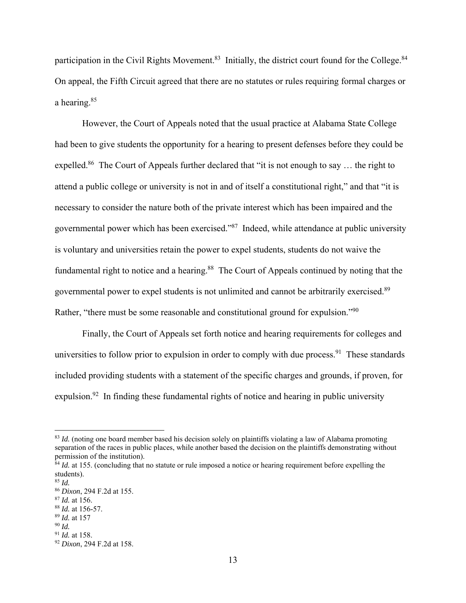participation in the Civil Rights Movement.<sup>83</sup> Initially, the district court found for the College.<sup>84</sup> On appeal, the Fifth Circuit agreed that there are no statutes or rules requiring formal charges or a hearing.85

However, the Court of Appeals noted that the usual practice at Alabama State College had been to give students the opportunity for a hearing to present defenses before they could be expelled.<sup>86</sup> The Court of Appeals further declared that "it is not enough to say ... the right to attend a public college or university is not in and of itself a constitutional right," and that "it is necessary to consider the nature both of the private interest which has been impaired and the governmental power which has been exercised."87 Indeed, while attendance at public university is voluntary and universities retain the power to expel students, students do not waive the fundamental right to notice and a hearing.<sup>88</sup> The Court of Appeals continued by noting that the governmental power to expel students is not unlimited and cannot be arbitrarily exercised.<sup>89</sup> Rather, "there must be some reasonable and constitutional ground for expulsion."<sup>90</sup>

Finally, the Court of Appeals set forth notice and hearing requirements for colleges and universities to follow prior to expulsion in order to comply with due process. <sup>91</sup> These standards included providing students with a statement of the specific charges and grounds, if proven, for expulsion.<sup>92</sup> In finding these fundamental rights of notice and hearing in public university

<sup>&</sup>lt;sup>83</sup> *Id.* (noting one board member based his decision solely on plaintiffs violating a law of Alabama promoting separation of the races in public places, while another based the decision on the plaintiffs demonstrating without permission of the institution).

 $^{84}$  *Id.* at 155. (concluding that no statute or rule imposed a notice or hearing requirement before expelling the students).

<sup>85</sup> *Id.*

<sup>86</sup> *Dixon*, 294 F.2d at 155.

<sup>87</sup> *Id.* at 156.

<sup>88</sup> *Id.* at 156-57.

<sup>89</sup> *Id.* at 157

<sup>90</sup> *Id.*

<sup>91</sup> *Id.* at 158.

<sup>92</sup> *Dixon*, 294 F.2d at 158.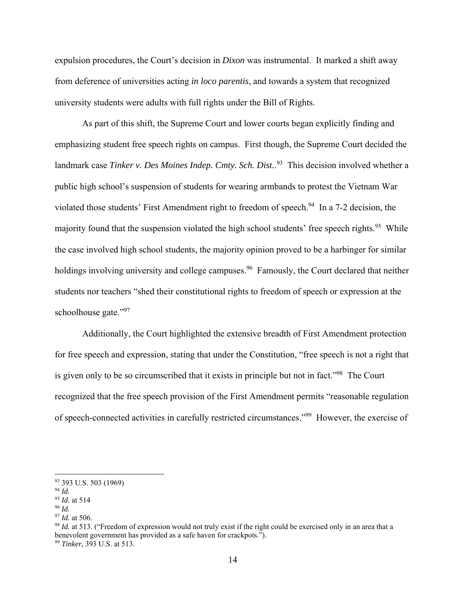expulsion procedures, the Court's decision in *Dixon* was instrumental. It marked a shift away from deference of universities acting *in loco parentis*, and towards a system that recognized university students were adults with full rights under the Bill of Rights.

As part of this shift, the Supreme Court and lower courts began explicitly finding and emphasizing student free speech rights on campus. First though, the Supreme Court decided the landmark case *Tinker v. Des Moines Indep. Cmty. Sch. Dist.*. 93 This decision involved whether a public high school's suspension of students for wearing armbands to protest the Vietnam War violated those students' First Amendment right to freedom of speech.<sup>94</sup> In a 7-2 decision, the majority found that the suspension violated the high school students' free speech rights.<sup>95</sup> While the case involved high school students, the majority opinion proved to be a harbinger for similar holdings involving university and college campuses.<sup>96</sup> Famously, the Court declared that neither students nor teachers "shed their constitutional rights to freedom of speech or expression at the schoolhouse gate."97

Additionally, the Court highlighted the extensive breadth of First Amendment protection for free speech and expression, stating that under the Constitution, "free speech is not a right that is given only to be so circumscribed that it exists in principle but not in fact."98 The Court recognized that the free speech provision of the First Amendment permits "reasonable regulation of speech-connected activities in carefully restricted circumstances."99 However, the exercise of

<sup>93 393</sup> U.S. 503 (1969)

<sup>94</sup> *Id.*

<sup>95</sup> *Id.* at 514

<sup>96</sup> *Id.*

<sup>97</sup> *Id.* at 506.

<sup>98</sup> *Id.* at 513. ("Freedom of expression would not truly exist if the right could be exercised only in an area that a benevolent government has provided as a safe haven for crackpots."). <sup>99</sup> *Tinker*, 393 U.S. at 513.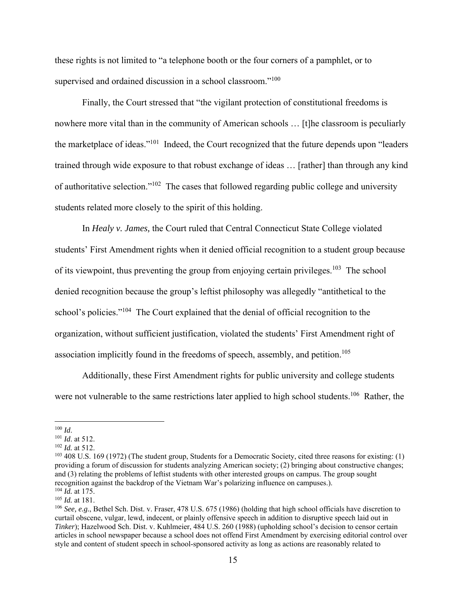these rights is not limited to "a telephone booth or the four corners of a pamphlet, or to supervised and ordained discussion in a school classroom."<sup>100</sup>

Finally, the Court stressed that "the vigilant protection of constitutional freedoms is nowhere more vital than in the community of American schools … [t]he classroom is peculiarly the marketplace of ideas."101 Indeed, the Court recognized that the future depends upon "leaders trained through wide exposure to that robust exchange of ideas … [rather] than through any kind of authoritative selection."102 The cases that followed regarding public college and university students related more closely to the spirit of this holding.

In *Healy v. James,* the Court ruled that Central Connecticut State College violated students' First Amendment rights when it denied official recognition to a student group because of its viewpoint, thus preventing the group from enjoying certain privileges.<sup>103</sup> The school denied recognition because the group's leftist philosophy was allegedly "antithetical to the school's policies."<sup>104</sup> The Court explained that the denial of official recognition to the organization, without sufficient justification, violated the students' First Amendment right of association implicitly found in the freedoms of speech, assembly, and petition.<sup>105</sup>

Additionally, these First Amendment rights for public university and college students were not vulnerable to the same restrictions later applied to high school students.<sup>106</sup> Rather, the

<sup>100</sup> *Id*. 101 *Id*. at 512.

<sup>102</sup> *Id.* at 512.

<sup>&</sup>lt;sup>103</sup> 408 U.S. 169 (1972) (The student group, Students for a Democratic Society, cited three reasons for existing: (1) providing a forum of discussion for students analyzing American society; (2) bringing about constructive changes; and (3) relating the problems of leftist students with other interested groups on campus. The group sought recognition against the backdrop of the Vietnam War's polarizing influence on campuses.).  $^{104}$  *Id.* at 175.

<sup>105</sup> *Id.* at 181.

<sup>106</sup> *See, e.g.*, Bethel Sch. Dist. v. Fraser, 478 U.S. 675 (1986) (holding that high school officials have discretion to curtail obscene, vulgar, lewd, indecent, or plainly offensive speech in addition to disruptive speech laid out in *Tinker*); Hazelwood Sch. Dist. v. Kuhlmeier, 484 U.S. 260 (1988) (upholding school's decision to censor certain articles in school newspaper because a school does not offend First Amendment by exercising editorial control over style and content of student speech in school-sponsored activity as long as actions are reasonably related to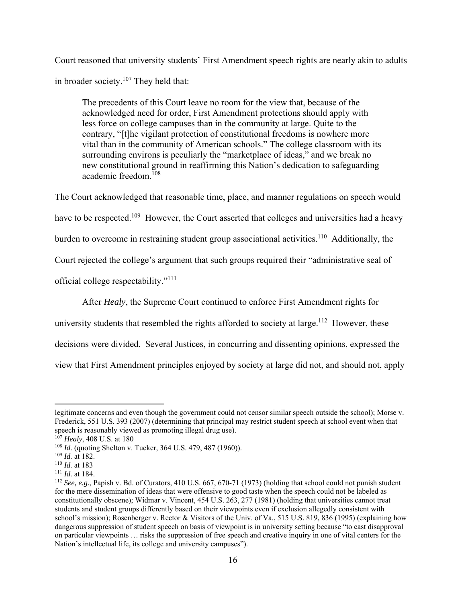Court reasoned that university students' First Amendment speech rights are nearly akin to adults in broader society. $107$  They held that:

The precedents of this Court leave no room for the view that, because of the acknowledged need for order, First Amendment protections should apply with less force on college campuses than in the community at large. Quite to the contrary, "[t]he vigilant protection of constitutional freedoms is nowhere more vital than in the community of American schools." The college classroom with its surrounding environs is peculiarly the "marketplace of ideas," and we break no new constitutional ground in reaffirming this Nation's dedication to safeguarding academic freedom.<sup>108</sup>

The Court acknowledged that reasonable time, place, and manner regulations on speech would have to be respected.<sup>109</sup> However, the Court asserted that colleges and universities had a heavy burden to overcome in restraining student group associational activities.<sup>110</sup> Additionally, the Court rejected the college's argument that such groups required their "administrative seal of official college respectability."111

After *Healy*, the Supreme Court continued to enforce First Amendment rights for

university students that resembled the rights afforded to society at large.<sup>112</sup> However, these

decisions were divided. Several Justices, in concurring and dissenting opinions, expressed the

view that First Amendment principles enjoyed by society at large did not, and should not, apply

legitimate concerns and even though the government could not censor similar speech outside the school); Morse v. Frederick, 551 U.S. 393 (2007) (determining that principal may restrict student speech at school event when that speech is reasonably viewed as promoting illegal drug use).

<sup>107</sup> *Healy*, 408 U.S. at 180

<sup>108</sup> *Id.* (quoting Shelton v. Tucker, 364 U.S. 479, 487 (1960)).

<sup>&</sup>lt;sup>109</sup> *Id.* at 182.<br><sup>110</sup> *Id.* at 183

<sup>&</sup>lt;sup>111</sup> *Id.* at 184.<br><sup>112</sup> *See, e.g.*, Papish v. Bd. of Curators, 410 U.S. 667, 670-71 (1973) (holding that school could not punish student for the mere dissemination of ideas that were offensive to good taste when the speech could not be labeled as constitutionally obscene); Widmar v. Vincent, 454 U.S. 263, 277 (1981) (holding that universities cannot treat students and student groups differently based on their viewpoints even if exclusion allegedly consistent with school's mission); Rosenberger v. Rector & Visitors of the Univ. of Va., 515 U.S. 819, 836 (1995) (explaining how dangerous suppression of student speech on basis of viewpoint is in university setting because "to cast disapproval on particular viewpoints … risks the suppression of free speech and creative inquiry in one of vital centers for the Nation's intellectual life, its college and university campuses").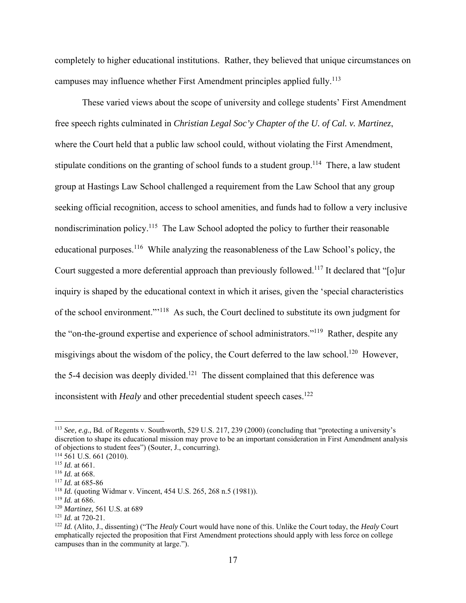completely to higher educational institutions. Rather, they believed that unique circumstances on campuses may influence whether First Amendment principles applied fully.<sup>113</sup>

These varied views about the scope of university and college students' First Amendment free speech rights culminated in *Christian Legal Soc'y Chapter of the U. of Cal. v. Martinez*, where the Court held that a public law school could, without violating the First Amendment, stipulate conditions on the granting of school funds to a student group.<sup>114</sup> There, a law student group at Hastings Law School challenged a requirement from the Law School that any group seeking official recognition, access to school amenities, and funds had to follow a very inclusive nondiscrimination policy.<sup>115</sup> The Law School adopted the policy to further their reasonable educational purposes.116 While analyzing the reasonableness of the Law School's policy, the Court suggested a more deferential approach than previously followed.<sup>117</sup> It declared that "[o]ur inquiry is shaped by the educational context in which it arises, given the 'special characteristics of the school environment."'118 As such, the Court declined to substitute its own judgment for the "on-the-ground expertise and experience of school administrators."119 Rather, despite any misgivings about the wisdom of the policy, the Court deferred to the law school.<sup>120</sup> However, the 5-4 decision was deeply divided.<sup>121</sup> The dissent complained that this deference was inconsistent with *Healy* and other precedential student speech cases.<sup>122</sup>

<sup>113</sup> *See, e.g.*, Bd. of Regents v. Southworth, 529 U.S. 217, 239 (2000) (concluding that "protecting a university's discretion to shape its educational mission may prove to be an important consideration in First Amendment analysis of objections to student fees") (Souter, J., concurring).

 $114$  561 U.S. 661 (2010).

<sup>115</sup> *Id.* at 661.

<sup>116</sup> *Id.* at 668.

<sup>117</sup> *Id.* at 685-86

<sup>118</sup> *Id.* (quoting Widmar v. Vincent, 454 U.S. 265, 268 n.5 (1981)).

<sup>&</sup>lt;sup>119</sup> *Id.* at 686.<br><sup>120</sup> *Martinez*, 561 U.S. at 689

<sup>&</sup>lt;sup>121</sup> *Id.* at 720-21.<br><sup>122</sup> *Id.* (Alito, J., dissenting) ("The *Healy* Court would have none of this. Unlike the Court today, the *Healy* Court emphatically rejected the proposition that First Amendment protections should apply with less force on college campuses than in the community at large.").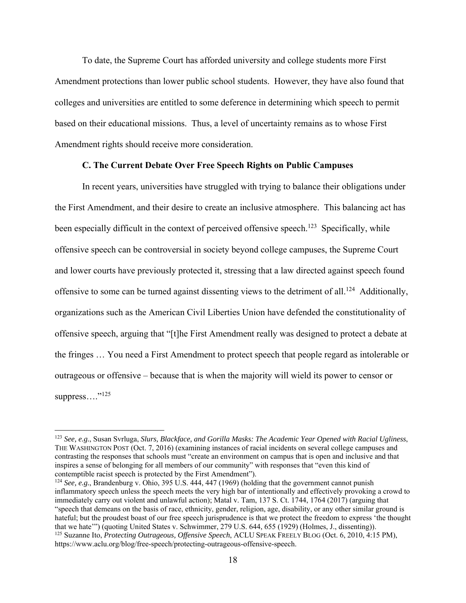To date, the Supreme Court has afforded university and college students more First Amendment protections than lower public school students. However, they have also found that colleges and universities are entitled to some deference in determining which speech to permit based on their educational missions. Thus, a level of uncertainty remains as to whose First Amendment rights should receive more consideration.

# **C. The Current Debate Over Free Speech Rights on Public Campuses**

 In recent years, universities have struggled with trying to balance their obligations under the First Amendment, and their desire to create an inclusive atmosphere. This balancing act has been especially difficult in the context of perceived offensive speech.<sup>123</sup> Specifically, while offensive speech can be controversial in society beyond college campuses, the Supreme Court and lower courts have previously protected it, stressing that a law directed against speech found offensive to some can be turned against dissenting views to the detriment of all.<sup>124</sup> Additionally, organizations such as the American Civil Liberties Union have defended the constitutionality of offensive speech, arguing that "[t]he First Amendment really was designed to protect a debate at the fringes … You need a First Amendment to protect speech that people regard as intolerable or outrageous or offensive – because that is when the majority will wield its power to censor or suppress...."<sup>125</sup>

<sup>123</sup> *See, e.g.*, Susan Svrluga, *Slurs, Blackface, and Gorilla Masks: The Academic Year Opened with Racial Ugliness*, THE WASHINGTON POST (Oct. 7, 2016) (examining instances of racial incidents on several college campuses and contrasting the responses that schools must "create an environment on campus that is open and inclusive and that inspires a sense of belonging for all members of our community" with responses that "even this kind of contemptible racist speech is protected by the First Amendment").

<sup>&</sup>lt;sup>124</sup> *See, e.g.*, Brandenburg v. Ohio, 395 U.S. 444, 447 (1969) (holding that the government cannot punish inflammatory speech unless the speech meets the very high bar of intentionally and effectively provoking a crowd to immediately carry out violent and unlawful action); Matal v. Tam, 137 S. Ct. 1744, 1764 (2017) (arguing that "speech that demeans on the basis of race, ethnicity, gender, religion, age, disability, or any other similar ground is hateful; but the proudest boast of our free speech jurisprudence is that we protect the freedom to express 'the thought that we hate'") (quoting United States v. Schwimmer, 279 U.S. 644, 655 (1929) (Holmes, J., dissenting)). 125 Suzanne Ito, *Protecting Outrageous, Offensive Speech*, ACLU SPEAK FREELY BLOG (Oct. 6, 2010, 4:15 PM), https://www.aclu.org/blog/free-speech/protecting-outrageous-offensive-speech.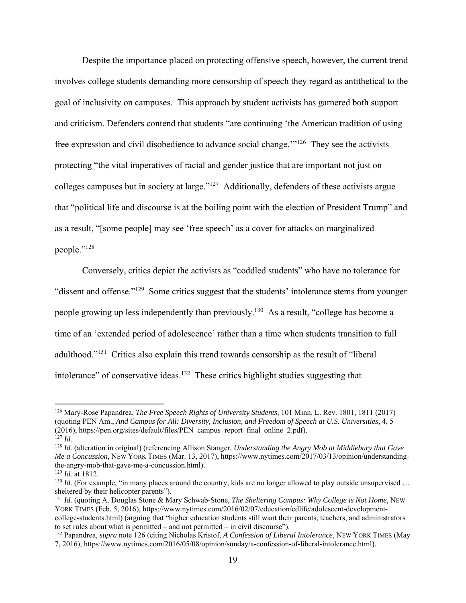Despite the importance placed on protecting offensive speech, however, the current trend involves college students demanding more censorship of speech they regard as antithetical to the goal of inclusivity on campuses. This approach by student activists has garnered both support and criticism. Defenders contend that students "are continuing 'the American tradition of using free expression and civil disobedience to advance social change.'"126 They see the activists protecting "the vital imperatives of racial and gender justice that are important not just on colleges campuses but in society at large."127 Additionally, defenders of these activists argue that "political life and discourse is at the boiling point with the election of President Trump" and as a result, "[some people] may see 'free speech' as a cover for attacks on marginalized people."<sup>128</sup>

 Conversely, critics depict the activists as "coddled students" who have no tolerance for "dissent and offense."<sup>129</sup> Some critics suggest that the students' intolerance stems from younger people growing up less independently than previously.<sup>130</sup> As a result, "college has become a time of an 'extended period of adolescence' rather than a time when students transition to full adulthood."131 Critics also explain this trend towards censorship as the result of "liberal intolerance" of conservative ideas.<sup>132</sup> These critics highlight studies suggesting that

<sup>126</sup> Mary-Rose Papandrea, *The Free Speech Rights of University Students*, 101 Minn. L. Rev. 1801, 1811 (2017) (quoting PEN Am., *And Campus for All: Diversity, Inclusion, and Freedom of Speech at U.S. Universities*, 4, 5 (2016), https://pen.org/sites/default/files/PEN\_campus\_report\_final\_online\_2.pdf).

<sup>127</sup> *Id.* 128 *Id.* (alteration in original) (referencing Allison Stanger, *Understanding the Angry Mob at Middlebury that Gave Me a Concussion*, NEW YORK TIMES (Mar. 13, 2017), https://www.nytimes.com/2017/03/13/opinion/understandingthe-angry-mob-that-gave-me-a-concussion.html).

<sup>129</sup> *Id.* at 1812.

 $130$  *Id.* (For example, "in many places around the country, kids are no longer allowed to play outside unsupervised ... sheltered by their helicopter parents").

<sup>131</sup> *Id.* (quoting A. Douglas Stone & Mary Schwab-Stone, *The Sheltering Campus: Why College is Not Home*, NEW YORK TIMES (Feb. 5, 2016), https://www.nytimes.com/2016/02/07/education/edlife/adolescent-developmentcollege-students.html) (arguing that "higher education students still want their parents, teachers, and administrators to set rules about what is permitted – and not permitted – in civil discourse").

<sup>132</sup> Papandrea, *supra* note 126 (citing Nicholas Kristof, *A Confession of Liberal Intolerance*, NEW YORK TIMES (May 7, 2016), https://www.nytimes.com/2016/05/08/opinion/sunday/a-confession-of-liberal-intolerance.html).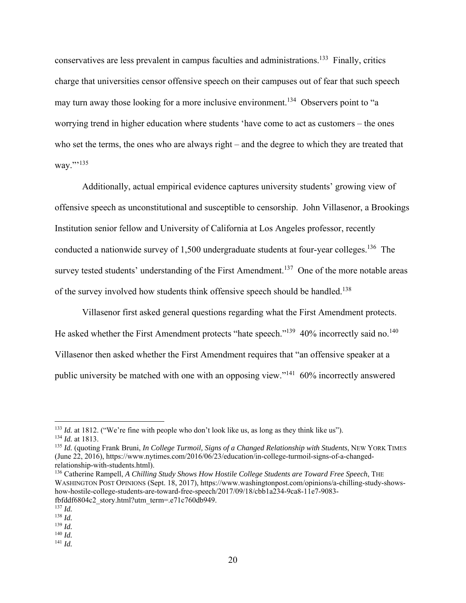conservatives are less prevalent in campus faculties and administrations.133 Finally, critics charge that universities censor offensive speech on their campuses out of fear that such speech may turn away those looking for a more inclusive environment.<sup>134</sup> Observers point to "a worrying trend in higher education where students 'have come to act as customers – the ones who set the terms, the ones who are always right – and the degree to which they are treated that way."'<sup>135</sup>

 Additionally, actual empirical evidence captures university students' growing view of offensive speech as unconstitutional and susceptible to censorship. John Villasenor, a Brookings Institution senior fellow and University of California at Los Angeles professor, recently conducted a nationwide survey of 1,500 undergraduate students at four-year colleges.<sup>136</sup> The survey tested students' understanding of the First Amendment.<sup>137</sup> One of the more notable areas of the survey involved how students think offensive speech should be handled.<sup>138</sup>

Villasenor first asked general questions regarding what the First Amendment protects. He asked whether the First Amendment protects "hate speech."<sup>139</sup> 40% incorrectly said no.<sup>140</sup> Villasenor then asked whether the First Amendment requires that "an offensive speaker at a public university be matched with one with an opposing view."141 60% incorrectly answered

<sup>&</sup>lt;sup>133</sup> *Id.* at 1812. ("We're fine with people who don't look like us, as long as they think like us"). <sup>134</sup> *Id.* at 1813.

<sup>135</sup> *Id.* (quoting Frank Bruni, *In College Turmoil, Signs of a Changed Relationship with Students*, NEW YORK TIMES (June 22, 2016), https://www.nytimes.com/2016/06/23/education/in-college-turmoil-signs-of-a-changedrelationship-with-students.html).

<sup>136</sup> Catherine Rampell, *A Chilling Study Shows How Hostile College Students are Toward Free Speech*, THE WASHINGTON POST OPINIONS (Sept. 18, 2017), https://www.washingtonpost.com/opinions/a-chilling-study-showshow-hostile-college-students-are-toward-free-speech/2017/09/18/cbb1a234-9ca8-11e7-9083 fbfddf6804c2\_story.html?utm\_term=.e71c760db949.

<sup>137</sup> *Id.*

<sup>138</sup> *Id.* 

<sup>139</sup> *Id.*

<sup>140</sup> *Id.* <sup>141</sup> *Id.*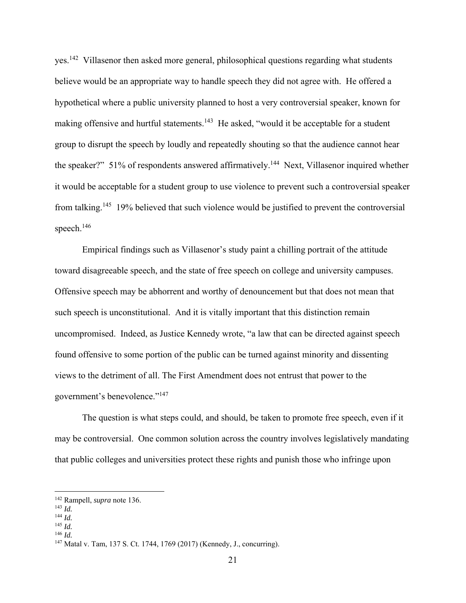yes.142 Villasenor then asked more general, philosophical questions regarding what students believe would be an appropriate way to handle speech they did not agree with. He offered a hypothetical where a public university planned to host a very controversial speaker, known for making offensive and hurtful statements.<sup>143</sup> He asked, "would it be acceptable for a student group to disrupt the speech by loudly and repeatedly shouting so that the audience cannot hear the speaker?" 51% of respondents answered affirmatively.<sup>144</sup> Next, Villasenor inquired whether it would be acceptable for a student group to use violence to prevent such a controversial speaker from talking.145 19% believed that such violence would be justified to prevent the controversial speech.<sup>146</sup>

Empirical findings such as Villasenor's study paint a chilling portrait of the attitude toward disagreeable speech, and the state of free speech on college and university campuses. Offensive speech may be abhorrent and worthy of denouncement but that does not mean that such speech is unconstitutional. And it is vitally important that this distinction remain uncompromised. Indeed, as Justice Kennedy wrote, "a law that can be directed against speech found offensive to some portion of the public can be turned against minority and dissenting views to the detriment of all. The First Amendment does not entrust that power to the government's benevolence."147

The question is what steps could, and should, be taken to promote free speech, even if it may be controversial. One common solution across the country involves legislatively mandating that public colleges and universities protect these rights and punish those who infringe upon

<sup>144</sup> *Id.*

<sup>142</sup> Rampell, *supra* note 136.

<sup>143</sup> *Id.*

<sup>145</sup> *Id.* <sup>146</sup> *Id.*

<sup>147</sup> Matal v. Tam, 137 S. Ct. 1744, 1769 (2017) (Kennedy, J., concurring).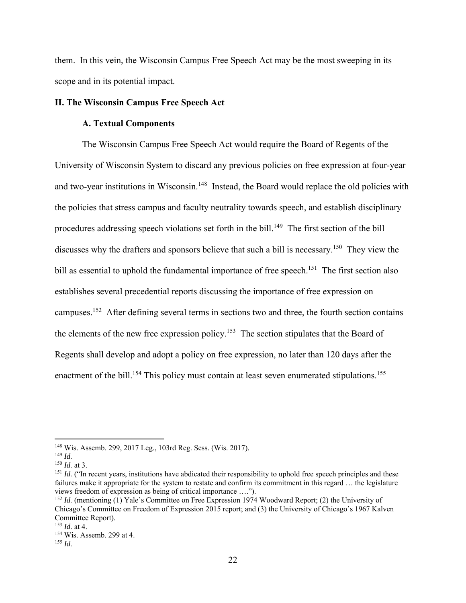them. In this vein, the Wisconsin Campus Free Speech Act may be the most sweeping in its scope and in its potential impact.

# **II. The Wisconsin Campus Free Speech Act**

# **A. Textual Components**

The Wisconsin Campus Free Speech Act would require the Board of Regents of the University of Wisconsin System to discard any previous policies on free expression at four-year and two-year institutions in Wisconsin.<sup>148</sup> Instead, the Board would replace the old policies with the policies that stress campus and faculty neutrality towards speech, and establish disciplinary procedures addressing speech violations set forth in the bill.<sup>149</sup> The first section of the bill discusses why the drafters and sponsors believe that such a bill is necessary.<sup>150</sup> They view the bill as essential to uphold the fundamental importance of free speech.<sup>151</sup> The first section also establishes several precedential reports discussing the importance of free expression on campuses.152 After defining several terms in sections two and three, the fourth section contains the elements of the new free expression policy.<sup>153</sup> The section stipulates that the Board of Regents shall develop and adopt a policy on free expression, no later than 120 days after the enactment of the bill.<sup>154</sup> This policy must contain at least seven enumerated stipulations.<sup>155</sup>

<sup>148</sup> Wis. Assemb. 299, 2017 Leg., 103rd Reg. Sess. (Wis. 2017).

<sup>149</sup> *Id.*

<sup>150</sup> *Id.* at 3.

<sup>&</sup>lt;sup>151</sup> *Id.* ("In recent years, institutions have abdicated their responsibility to uphold free speech principles and these failures make it appropriate for the system to restate and confirm its commitment in this regard … the legislature views freedom of expression as being of critical importance ….").

<sup>&</sup>lt;sup>152</sup> *Id.* (mentioning (1) Yale's Committee on Free Expression 1974 Woodward Report; (2) the University of Chicago's Committee on Freedom of Expression 2015 report; and (3) the University of Chicago's 1967 Kalven Committee Report).

<sup>153</sup> *Id.* at 4.

<sup>154</sup> Wis. Assemb. 299 at 4.

<sup>155</sup> *Id.*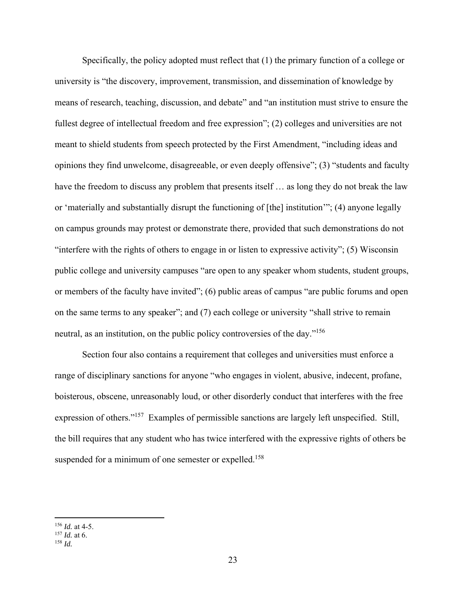Specifically, the policy adopted must reflect that (1) the primary function of a college or university is "the discovery, improvement, transmission, and dissemination of knowledge by means of research, teaching, discussion, and debate" and "an institution must strive to ensure the fullest degree of intellectual freedom and free expression"; (2) colleges and universities are not meant to shield students from speech protected by the First Amendment, "including ideas and opinions they find unwelcome, disagreeable, or even deeply offensive"; (3) "students and faculty have the freedom to discuss any problem that presents itself ... as long they do not break the law or 'materially and substantially disrupt the functioning of [the] institution'"; (4) anyone legally on campus grounds may protest or demonstrate there, provided that such demonstrations do not "interfere with the rights of others to engage in or listen to expressive activity"; (5) Wisconsin public college and university campuses "are open to any speaker whom students, student groups, or members of the faculty have invited"; (6) public areas of campus "are public forums and open on the same terms to any speaker"; and (7) each college or university "shall strive to remain neutral, as an institution, on the public policy controversies of the day."156

Section four also contains a requirement that colleges and universities must enforce a range of disciplinary sanctions for anyone "who engages in violent, abusive, indecent, profane, boisterous, obscene, unreasonably loud, or other disorderly conduct that interferes with the free expression of others."157 Examples of permissible sanctions are largely left unspecified. Still, the bill requires that any student who has twice interfered with the expressive rights of others be suspended for a minimum of one semester or expelled.<sup>158</sup>

<sup>156</sup> *Id.* at 4-5.

<sup>157</sup> *Id.* at 6. <sup>158</sup> *Id.*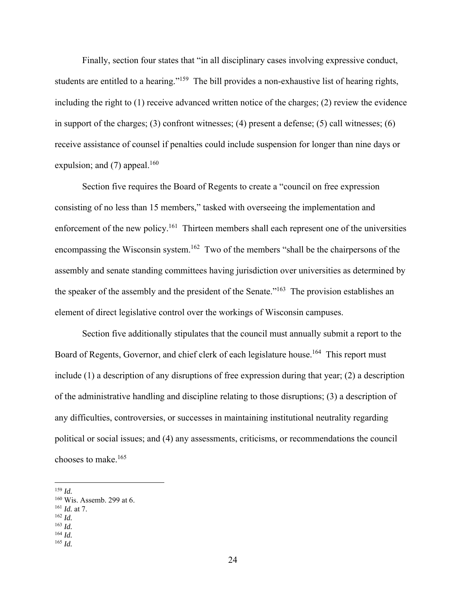Finally, section four states that "in all disciplinary cases involving expressive conduct, students are entitled to a hearing."<sup>159</sup> The bill provides a non-exhaustive list of hearing rights, including the right to (1) receive advanced written notice of the charges; (2) review the evidence in support of the charges; (3) confront witnesses; (4) present a defense; (5) call witnesses; (6) receive assistance of counsel if penalties could include suspension for longer than nine days or expulsion; and  $(7)$  appeal.<sup>160</sup>

Section five requires the Board of Regents to create a "council on free expression consisting of no less than 15 members," tasked with overseeing the implementation and enforcement of the new policy.<sup>161</sup> Thirteen members shall each represent one of the universities encompassing the Wisconsin system.<sup>162</sup> Two of the members "shall be the chairpersons of the assembly and senate standing committees having jurisdiction over universities as determined by the speaker of the assembly and the president of the Senate."<sup>163</sup> The provision establishes an element of direct legislative control over the workings of Wisconsin campuses.

Section five additionally stipulates that the council must annually submit a report to the Board of Regents, Governor, and chief clerk of each legislature house.<sup>164</sup> This report must include (1) a description of any disruptions of free expression during that year; (2) a description of the administrative handling and discipline relating to those disruptions; (3) a description of any difficulties, controversies, or successes in maintaining institutional neutrality regarding political or social issues; and (4) any assessments, criticisms, or recommendations the council chooses to make.165

<sup>162</sup> *Id.*

<sup>164</sup> *Id.* <sup>165</sup> *Id.*

<sup>159</sup> *Id.*

<sup>160</sup> Wis. Assemb. 299 at 6.

<sup>161</sup> *Id.* at 7.

<sup>163</sup> *Id.*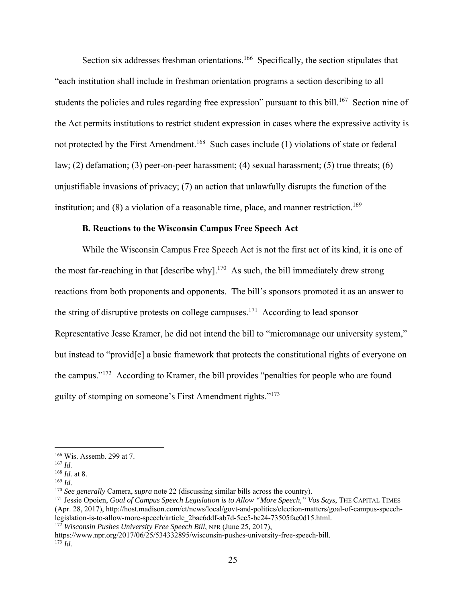Section six addresses freshman orientations.<sup>166</sup> Specifically, the section stipulates that "each institution shall include in freshman orientation programs a section describing to all students the policies and rules regarding free expression" pursuant to this bill.<sup>167</sup> Section nine of the Act permits institutions to restrict student expression in cases where the expressive activity is not protected by the First Amendment.<sup>168</sup> Such cases include (1) violations of state or federal law; (2) defamation; (3) peer-on-peer harassment; (4) sexual harassment; (5) true threats; (6) unjustifiable invasions of privacy; (7) an action that unlawfully disrupts the function of the institution; and  $(8)$  a violation of a reasonable time, place, and manner restriction.<sup>169</sup>

#### **B. Reactions to the Wisconsin Campus Free Speech Act**

 While the Wisconsin Campus Free Speech Act is not the first act of its kind, it is one of the most far-reaching in that  $[describe why]$ <sup>170</sup> As such, the bill immediately drew strong reactions from both proponents and opponents. The bill's sponsors promoted it as an answer to the string of disruptive protests on college campuses.<sup>171</sup> According to lead sponsor Representative Jesse Kramer, he did not intend the bill to "micromanage our university system," but instead to "provid[e] a basic framework that protects the constitutional rights of everyone on the campus."172 According to Kramer, the bill provides "penalties for people who are found guilty of stomping on someone's First Amendment rights."173

<sup>166</sup> Wis. Assemb. 299 at 7.

<sup>167</sup> *Id.*

<sup>168</sup> *Id.* at 8.

<sup>169</sup> *Id.*

<sup>170</sup> *See generally* Camera, *supra* note 22 (discussing similar bills across the country).

<sup>171</sup> Jessie Opoien, *Goal of Campus Speech Legislation is to Allow "More Speech," Vos Says*, THE CAPITAL TIMES (Apr. 28, 2017), http://host.madison.com/ct/news/local/govt-and-politics/election-matters/goal-of-campus-speechlegislation-is-to-allow-more-speech/article\_2bac6ddf-ab7d-5ec5-be24-73505fae0d15.html.

<sup>172</sup> *Wisconsin Pushes University Free Speech Bill*, NPR (June 25, 2017),

https://www.npr.org/2017/06/25/534332895/wisconsin-pushes-university-free-speech-bill.  $^{173}$ *Id.*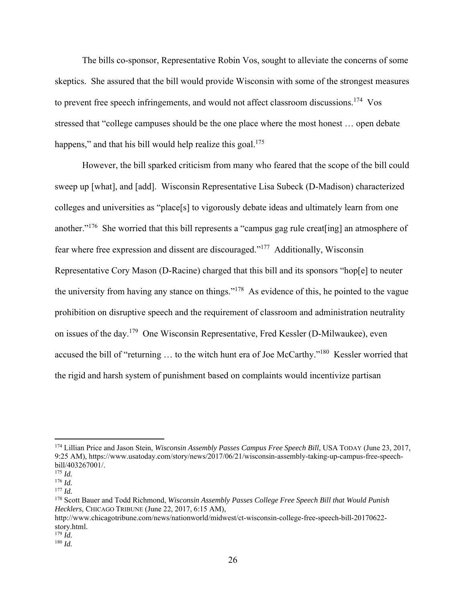The bills co-sponsor, Representative Robin Vos, sought to alleviate the concerns of some skeptics. She assured that the bill would provide Wisconsin with some of the strongest measures to prevent free speech infringements, and would not affect classroom discussions.<sup>174</sup> Vos stressed that "college campuses should be the one place where the most honest … open debate happens," and that his bill would help realize this goal.<sup>175</sup>

 However, the bill sparked criticism from many who feared that the scope of the bill could sweep up [what], and [add]. Wisconsin Representative Lisa Subeck (D-Madison) characterized colleges and universities as "place[s] to vigorously debate ideas and ultimately learn from one another."176 She worried that this bill represents a "campus gag rule creat[ing] an atmosphere of fear where free expression and dissent are discouraged."177 Additionally, Wisconsin Representative Cory Mason (D-Racine) charged that this bill and its sponsors "hop[e] to neuter the university from having any stance on things."178 As evidence of this, he pointed to the vague prohibition on disruptive speech and the requirement of classroom and administration neutrality on issues of the day.179 One Wisconsin Representative, Fred Kessler (D-Milwaukee), even accused the bill of "returning ... to the witch hunt era of Joe McCarthy."<sup>180</sup> Kessler worried that the rigid and harsh system of punishment based on complaints would incentivize partisan

<sup>174</sup> Lillian Price and Jason Stein, *Wisconsin Assembly Passes Campus Free Speech Bill*, USA TODAY (June 23, 2017, 9:25 AM), https://www.usatoday.com/story/news/2017/06/21/wisconsin-assembly-taking-up-campus-free-speechbill/403267001/.

<sup>175</sup> *Id.*

<sup>176</sup> *Id.*

<sup>177</sup> *Id.*

<sup>178</sup> Scott Bauer and Todd Richmond, *Wisconsin Assembly Passes College Free Speech Bill that Would Punish Hecklers*, CHICAGO TRIBUNE (June 22, 2017, 6:15 AM),

http://www.chicagotribune.com/news/nationworld/midwest/ct-wisconsin-college-free-speech-bill-20170622 story.html.<br> $^{179}$  *Id.* 

 $180$  *Id.*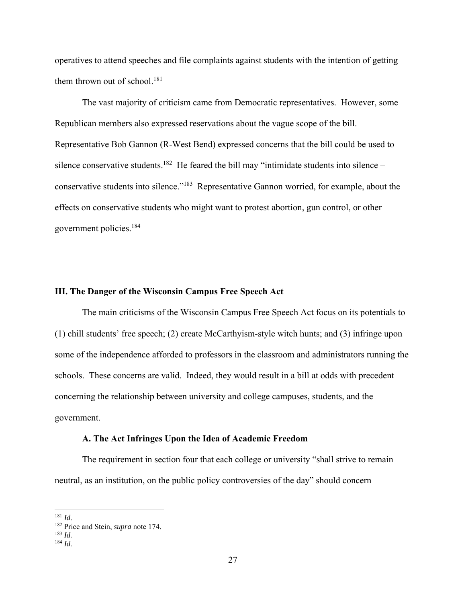operatives to attend speeches and file complaints against students with the intention of getting them thrown out of school.<sup>181</sup>

The vast majority of criticism came from Democratic representatives. However, some Republican members also expressed reservations about the vague scope of the bill. Representative Bob Gannon (R-West Bend) expressed concerns that the bill could be used to silence conservative students.<sup>182</sup> He feared the bill may "intimidate students into silence – conservative students into silence."183 Representative Gannon worried, for example, about the effects on conservative students who might want to protest abortion, gun control, or other government policies.184

#### **III. The Danger of the Wisconsin Campus Free Speech Act**

The main criticisms of the Wisconsin Campus Free Speech Act focus on its potentials to (1) chill students' free speech; (2) create McCarthyism-style witch hunts; and (3) infringe upon some of the independence afforded to professors in the classroom and administrators running the schools. These concerns are valid. Indeed, they would result in a bill at odds with precedent concerning the relationship between university and college campuses, students, and the government.

#### **A. The Act Infringes Upon the Idea of Academic Freedom**

 The requirement in section four that each college or university "shall strive to remain neutral, as an institution, on the public policy controversies of the day" should concern

<sup>181</sup> *Id.*

<sup>182</sup> Price and Stein, *supra* note 174.

<sup>183</sup> *Id.* <sup>184</sup> *Id.*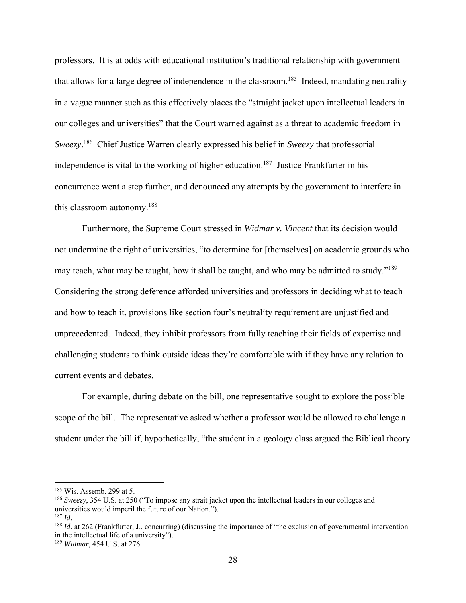professors. It is at odds with educational institution's traditional relationship with government that allows for a large degree of independence in the classroom.<sup>185</sup> Indeed, mandating neutrality in a vague manner such as this effectively places the "straight jacket upon intellectual leaders in our colleges and universities" that the Court warned against as a threat to academic freedom in *Sweezy*. 186 Chief Justice Warren clearly expressed his belief in *Sweezy* that professorial independence is vital to the working of higher education.<sup>187</sup> Justice Frankfurter in his concurrence went a step further, and denounced any attempts by the government to interfere in this classroom autonomy.188

Furthermore, the Supreme Court stressed in *Widmar v. Vincent* that its decision would not undermine the right of universities, "to determine for [themselves] on academic grounds who may teach, what may be taught, how it shall be taught, and who may be admitted to study."<sup>189</sup> Considering the strong deference afforded universities and professors in deciding what to teach and how to teach it, provisions like section four's neutrality requirement are unjustified and unprecedented. Indeed, they inhibit professors from fully teaching their fields of expertise and challenging students to think outside ideas they're comfortable with if they have any relation to current events and debates.

For example, during debate on the bill, one representative sought to explore the possible scope of the bill. The representative asked whether a professor would be allowed to challenge a student under the bill if, hypothetically, "the student in a geology class argued the Biblical theory

<sup>185</sup> Wis. Assemb. 299 at 5.

<sup>186</sup> *Sweezy*, 354 U.S. at 250 ("To impose any strait jacket upon the intellectual leaders in our colleges and universities would imperil the future of our Nation."). <sup>187</sup> *Id.*

<sup>&</sup>lt;sup>188</sup> *Id.* at 262 (Frankfurter, J., concurring) (discussing the importance of "the exclusion of governmental intervention in the intellectual life of a university").

<sup>189</sup> *Widmar*, 454 U.S. at 276.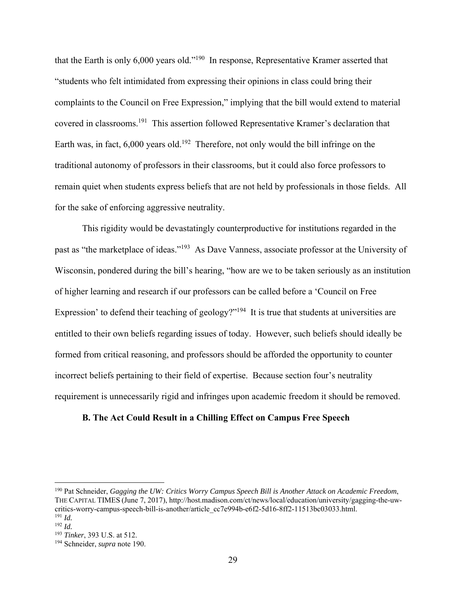that the Earth is only 6,000 years old."190 In response, Representative Kramer asserted that "students who felt intimidated from expressing their opinions in class could bring their complaints to the Council on Free Expression," implying that the bill would extend to material covered in classrooms.191 This assertion followed Representative Kramer's declaration that Earth was, in fact,  $6,000$  years old.<sup>192</sup> Therefore, not only would the bill infringe on the traditional autonomy of professors in their classrooms, but it could also force professors to remain quiet when students express beliefs that are not held by professionals in those fields. All for the sake of enforcing aggressive neutrality.

This rigidity would be devastatingly counterproductive for institutions regarded in the past as "the marketplace of ideas."193 As Dave Vanness, associate professor at the University of Wisconsin, pondered during the bill's hearing, "how are we to be taken seriously as an institution of higher learning and research if our professors can be called before a 'Council on Free Expression' to defend their teaching of geology?"<sup>194</sup> It is true that students at universities are entitled to their own beliefs regarding issues of today. However, such beliefs should ideally be formed from critical reasoning, and professors should be afforded the opportunity to counter incorrect beliefs pertaining to their field of expertise. Because section four's neutrality requirement is unnecessarily rigid and infringes upon academic freedom it should be removed.

# **B. The Act Could Result in a Chilling Effect on Campus Free Speech**

<sup>190</sup> Pat Schneider, *Gagging the UW: Critics Worry Campus Speech Bill is Another Attack on Academic Freedom*, THE CAPITAL TIMES (June 7, 2017), http://host.madison.com/ct/news/local/education/university/gagging-the-uwcritics-worry-campus-speech-bill-is-another/article\_cc7e994b-e6f2-5d16-8ff2-11513bc03033.html. <sup>191</sup> *Id.*

<sup>192</sup> *Id.*

<sup>193</sup> *Tinker*, 393 U.S. at 512.

<sup>194</sup> Schneider, *supra* note 190.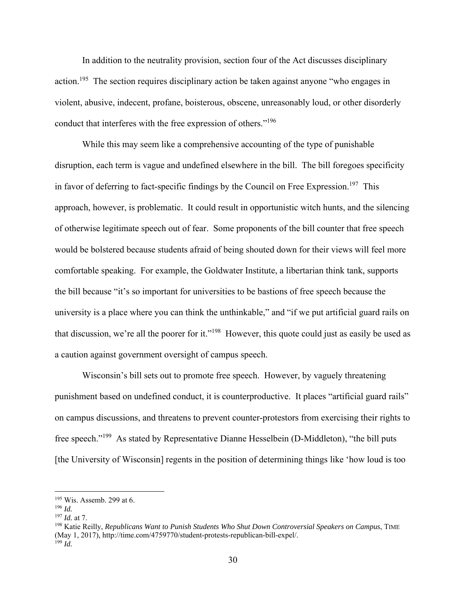In addition to the neutrality provision, section four of the Act discusses disciplinary action.<sup>195</sup> The section requires disciplinary action be taken against anyone "who engages in violent, abusive, indecent, profane, boisterous, obscene, unreasonably loud, or other disorderly conduct that interferes with the free expression of others."196

While this may seem like a comprehensive accounting of the type of punishable disruption, each term is vague and undefined elsewhere in the bill. The bill foregoes specificity in favor of deferring to fact-specific findings by the Council on Free Expression.<sup>197</sup> This approach, however, is problematic. It could result in opportunistic witch hunts, and the silencing of otherwise legitimate speech out of fear. Some proponents of the bill counter that free speech would be bolstered because students afraid of being shouted down for their views will feel more comfortable speaking. For example, the Goldwater Institute, a libertarian think tank, supports the bill because "it's so important for universities to be bastions of free speech because the university is a place where you can think the unthinkable," and "if we put artificial guard rails on that discussion, we're all the poorer for it."198 However, this quote could just as easily be used as a caution against government oversight of campus speech.

Wisconsin's bill sets out to promote free speech. However, by vaguely threatening punishment based on undefined conduct, it is counterproductive. It places "artificial guard rails" on campus discussions, and threatens to prevent counter-protestors from exercising their rights to free speech."199 As stated by Representative Dianne Hesselbein (D-Middleton), "the bill puts [the University of Wisconsin] regents in the position of determining things like 'how loud is too

<sup>195</sup> Wis. Assemb. 299 at 6.

<sup>196</sup> *Id.*

<sup>197</sup> *Id.* at 7.

<sup>198</sup> Katie Reilly, *Republicans Want to Punish Students Who Shut Down Controversial Speakers on Campus*, TIME (May 1, 2017), http://time.com/4759770/student-protests-republican-bill-expel/.  $199$  *Id.*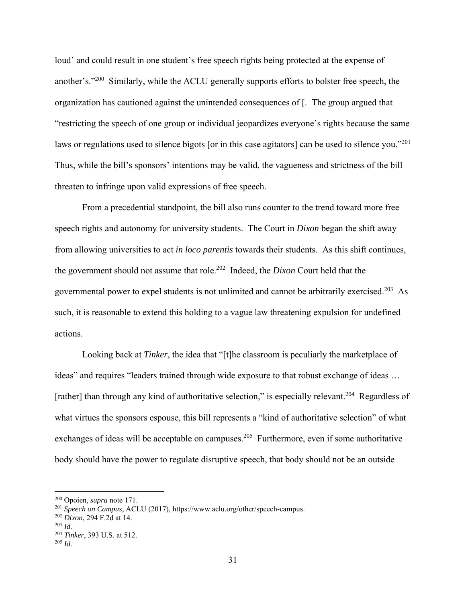loud' and could result in one student's free speech rights being protected at the expense of another's."<sup>200</sup> Similarly, while the ACLU generally supports efforts to bolster free speech, the organization has cautioned against the unintended consequences of [. The group argued that "restricting the speech of one group or individual jeopardizes everyone's rights because the same laws or regulations used to silence bigots [or in this case agitators] can be used to silence you."<sup>201</sup> Thus, while the bill's sponsors' intentions may be valid, the vagueness and strictness of the bill threaten to infringe upon valid expressions of free speech.

 From a precedential standpoint, the bill also runs counter to the trend toward more free speech rights and autonomy for university students. The Court in *Dixon* began the shift away from allowing universities to act *in loco parentis* towards their students. As this shift continues, the government should not assume that role.202 Indeed, the *Dixon* Court held that the governmental power to expel students is not unlimited and cannot be arbitrarily exercised.<sup>203</sup> As such, it is reasonable to extend this holding to a vague law threatening expulsion for undefined actions.

Looking back at *Tinker*, the idea that "[t]he classroom is peculiarly the marketplace of ideas" and requires "leaders trained through wide exposure to that robust exchange of ideas … [rather] than through any kind of authoritative selection," is especially relevant.<sup>204</sup> Regardless of what virtues the sponsors espouse, this bill represents a "kind of authoritative selection" of what exchanges of ideas will be acceptable on campuses.<sup>205</sup> Furthermore, even if some authoritative body should have the power to regulate disruptive speech, that body should not be an outside

<sup>200</sup> Opoien, *supra* note 171.

<sup>201</sup> *Speech on Campus*, ACLU (2017), https://www.aclu.org/other/speech-campus.

<sup>202</sup> *Dixon*, 294 F.2d at 14.

<sup>203</sup> *Id.*

<sup>204</sup> *Tinker*, 393 U.S. at 512.

<sup>205</sup> *Id.*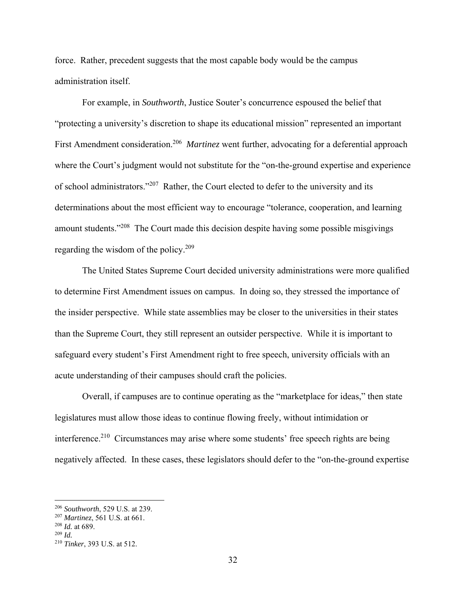force. Rather, precedent suggests that the most capable body would be the campus administration itself.

For example, in *Southworth*, Justice Souter's concurrence espoused the belief that "protecting a university's discretion to shape its educational mission" represented an important First Amendment consideration.206 *Martinez* went further, advocating for a deferential approach where the Court's judgment would not substitute for the "on-the-ground expertise and experience of school administrators."207 Rather, the Court elected to defer to the university and its determinations about the most efficient way to encourage "tolerance, cooperation, and learning amount students."<sup>208</sup> The Court made this decision despite having some possible misgivings regarding the wisdom of the policy.209

The United States Supreme Court decided university administrations were more qualified to determine First Amendment issues on campus. In doing so, they stressed the importance of the insider perspective. While state assemblies may be closer to the universities in their states than the Supreme Court, they still represent an outsider perspective. While it is important to safeguard every student's First Amendment right to free speech, university officials with an acute understanding of their campuses should craft the policies.

 Overall, if campuses are to continue operating as the "marketplace for ideas," then state legislatures must allow those ideas to continue flowing freely, without intimidation or interference.<sup>210</sup> Circumstances may arise where some students' free speech rights are being negatively affected. In these cases, these legislators should defer to the "on-the-ground expertise

<sup>206</sup> *Southworth*, 529 U.S. at 239.

<sup>207</sup> *Martinez*, 561 U.S. at 661.

<sup>208</sup> *Id.* at 689.

<sup>209</sup> *Id.*

<sup>210</sup> *Tinker*, 393 U.S. at 512.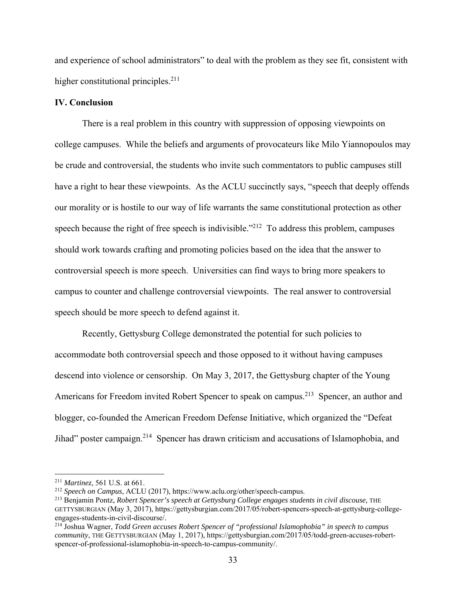and experience of school administrators" to deal with the problem as they see fit, consistent with higher constitutional principles. $^{211}$ 

#### **IV. Conclusion**

 There is a real problem in this country with suppression of opposing viewpoints on college campuses. While the beliefs and arguments of provocateurs like Milo Yiannopoulos may be crude and controversial, the students who invite such commentators to public campuses still have a right to hear these viewpoints. As the ACLU succinctly says, "speech that deeply offends our morality or is hostile to our way of life warrants the same constitutional protection as other speech because the right of free speech is indivisible."<sup>212</sup> To address this problem, campuses should work towards crafting and promoting policies based on the idea that the answer to controversial speech is more speech. Universities can find ways to bring more speakers to campus to counter and challenge controversial viewpoints. The real answer to controversial speech should be more speech to defend against it.

 Recently, Gettysburg College demonstrated the potential for such policies to accommodate both controversial speech and those opposed to it without having campuses descend into violence or censorship. On May 3, 2017, the Gettysburg chapter of the Young Americans for Freedom invited Robert Spencer to speak on campus.<sup>213</sup> Spencer, an author and blogger, co-founded the American Freedom Defense Initiative, which organized the "Defeat Jihad" poster campaign.<sup>214</sup> Spencer has drawn criticism and accusations of Islamophobia, and

<sup>&</sup>lt;sup>211</sup> *Martinez*, 561 U.S. at 661.<br><sup>212</sup> *Speech on Campus*, ACLU (2017), https://www.aclu.org/other/speech-campus.

<sup>213</sup> Benjamin Pontz, *Robert Spencer's speech at Gettysburg College engages students in civil discouse*, THE GETTYSBURGIAN (May 3, 2017), https://gettysburgian.com/2017/05/robert-spencers-speech-at-gettysburg-collegeengages-students-in-civil-discourse/.

<sup>214</sup> Joshua Wagner, *Todd Green accuses Robert Spencer of "professional Islamophobia" in speech to campus community*, THE GETTYSBURGIAN (May 1, 2017), https://gettysburgian.com/2017/05/todd-green-accuses-robertspencer-of-professional-islamophobia-in-speech-to-campus-community/.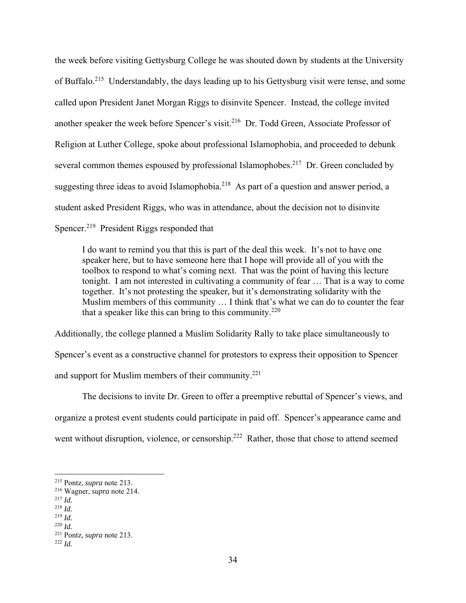the week before visiting Gettysburg College he was shouted down by students at the University of Buffalo.<sup>215</sup> Understandably, the days leading up to his Gettysburg visit were tense, and some called upon President Janet Morgan Riggs to disinvite Spencer. Instead, the college invited another speaker the week before Spencer's visit.<sup>216</sup> Dr. Todd Green, Associate Professor of Religion at Luther College, spoke about professional Islamophobia, and proceeded to debunk several common themes espoused by professional Islamophobes.<sup>217</sup> Dr. Green concluded by suggesting three ideas to avoid Islamophobia.<sup>218</sup> As part of a question and answer period, a student asked President Riggs, who was in attendance, about the decision not to disinvite Spencer.<sup>219</sup> President Riggs responded that

I do want to remind you that this is part of the deal this week. It's not to have one speaker here, but to have someone here that I hope will provide all of you with the toolbox to respond to what's coming next. That was the point of having this lecture tonight. I am not interested in cultivating a community of fear … That is a way to come together. It's not protesting the speaker, but it's demonstrating solidarity with the Muslim members of this community … I think that's what we can do to counter the fear that a speaker like this can bring to this community.<sup>220</sup>

Additionally, the college planned a Muslim Solidarity Rally to take place simultaneously to Spencer's event as a constructive channel for protestors to express their opposition to Spencer and support for Muslim members of their community.<sup>221</sup>

 The decisions to invite Dr. Green to offer a preemptive rebuttal of Spencer's views, and organize a protest event students could participate in paid off. Spencer's appearance came and went without disruption, violence, or censorship.<sup>222</sup> Rather, those that chose to attend seemed

<sup>215</sup> Pontz, *supra* note 213.

<sup>216</sup> Wagner, *supra* note 214.

<sup>217</sup> *Id.*

<sup>218</sup> *Id.*

<sup>219</sup> *Id.* <sup>220</sup> *Id.*

<sup>221</sup> Pontz, *supra* note 213. 222 *Id.*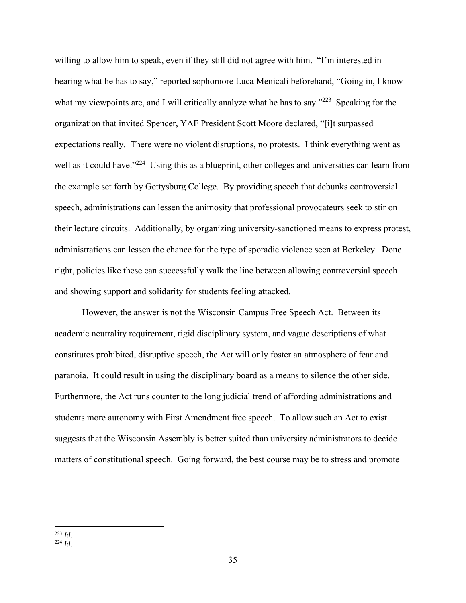willing to allow him to speak, even if they still did not agree with him. "I'm interested in hearing what he has to say," reported sophomore Luca Menicali beforehand, "Going in, I know what my viewpoints are, and I will critically analyze what he has to say."<sup>223</sup> Speaking for the organization that invited Spencer, YAF President Scott Moore declared, "[i]t surpassed expectations really. There were no violent disruptions, no protests. I think everything went as well as it could have."<sup>224</sup> Using this as a blueprint, other colleges and universities can learn from the example set forth by Gettysburg College. By providing speech that debunks controversial speech, administrations can lessen the animosity that professional provocateurs seek to stir on their lecture circuits. Additionally, by organizing university-sanctioned means to express protest, administrations can lessen the chance for the type of sporadic violence seen at Berkeley. Done right, policies like these can successfully walk the line between allowing controversial speech and showing support and solidarity for students feeling attacked.

However, the answer is not the Wisconsin Campus Free Speech Act. Between its academic neutrality requirement, rigid disciplinary system, and vague descriptions of what constitutes prohibited, disruptive speech, the Act will only foster an atmosphere of fear and paranoia. It could result in using the disciplinary board as a means to silence the other side. Furthermore, the Act runs counter to the long judicial trend of affording administrations and students more autonomy with First Amendment free speech. To allow such an Act to exist suggests that the Wisconsin Assembly is better suited than university administrators to decide matters of constitutional speech. Going forward, the best course may be to stress and promote